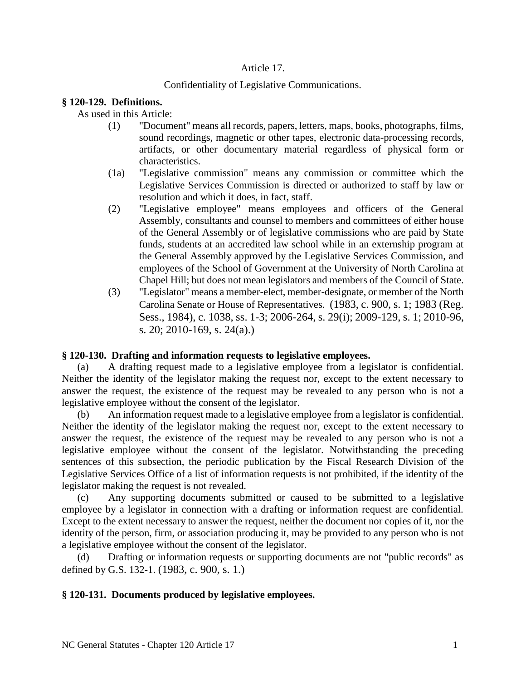## Article 17.

## Confidentiality of Legislative Communications.

## **§ 120-129. Definitions.**

As used in this Article:

- (1) "Document" means all records, papers, letters, maps, books, photographs, films, sound recordings, magnetic or other tapes, electronic data-processing records, artifacts, or other documentary material regardless of physical form or characteristics.
- (1a) "Legislative commission" means any commission or committee which the Legislative Services Commission is directed or authorized to staff by law or resolution and which it does, in fact, staff.
- (2) "Legislative employee" means employees and officers of the General Assembly, consultants and counsel to members and committees of either house of the General Assembly or of legislative commissions who are paid by State funds, students at an accredited law school while in an externship program at the General Assembly approved by the Legislative Services Commission, and employees of the School of Government at the University of North Carolina at Chapel Hill; but does not mean legislators and members of the Council of State.
- (3) "Legislator" means a member-elect, member-designate, or member of the North Carolina Senate or House of Representatives. (1983, c. 900, s. 1; 1983 (Reg. Sess., 1984), c. 1038, ss. 1-3; 2006-264, s. 29(i); 2009-129, s. 1; 2010-96, s. 20; 2010-169, s. 24(a).)

#### **§ 120-130. Drafting and information requests to legislative employees.**

(a) A drafting request made to a legislative employee from a legislator is confidential. Neither the identity of the legislator making the request nor, except to the extent necessary to answer the request, the existence of the request may be revealed to any person who is not a legislative employee without the consent of the legislator.

(b) An information request made to a legislative employee from a legislator is confidential. Neither the identity of the legislator making the request nor, except to the extent necessary to answer the request, the existence of the request may be revealed to any person who is not a legislative employee without the consent of the legislator. Notwithstanding the preceding sentences of this subsection, the periodic publication by the Fiscal Research Division of the Legislative Services Office of a list of information requests is not prohibited, if the identity of the legislator making the request is not revealed.

(c) Any supporting documents submitted or caused to be submitted to a legislative employee by a legislator in connection with a drafting or information request are confidential. Except to the extent necessary to answer the request, neither the document nor copies of it, nor the identity of the person, firm, or association producing it, may be provided to any person who is not a legislative employee without the consent of the legislator.

(d) Drafting or information requests or supporting documents are not "public records" as defined by G.S. 132-1. (1983, c. 900, s. 1.)

## **§ 120-131. Documents produced by legislative employees.**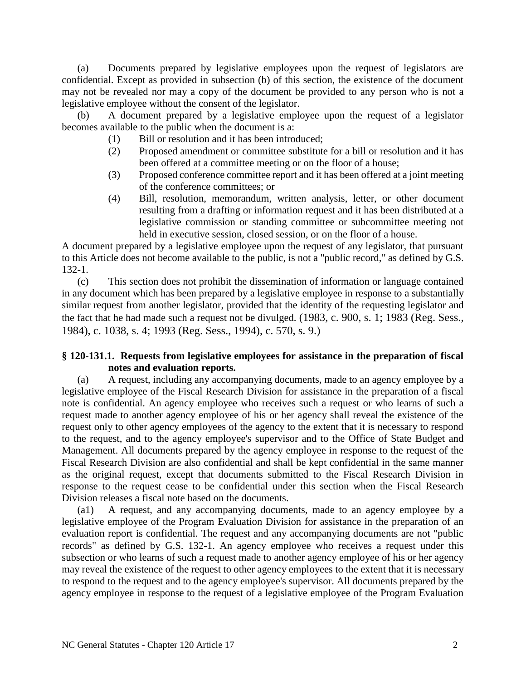(a) Documents prepared by legislative employees upon the request of legislators are confidential. Except as provided in subsection (b) of this section, the existence of the document may not be revealed nor may a copy of the document be provided to any person who is not a legislative employee without the consent of the legislator.

(b) A document prepared by a legislative employee upon the request of a legislator becomes available to the public when the document is a:

- (1) Bill or resolution and it has been introduced;
- (2) Proposed amendment or committee substitute for a bill or resolution and it has been offered at a committee meeting or on the floor of a house;
- (3) Proposed conference committee report and it has been offered at a joint meeting of the conference committees; or
- (4) Bill, resolution, memorandum, written analysis, letter, or other document resulting from a drafting or information request and it has been distributed at a legislative commission or standing committee or subcommittee meeting not held in executive session, closed session, or on the floor of a house.

A document prepared by a legislative employee upon the request of any legislator, that pursuant to this Article does not become available to the public, is not a "public record," as defined by G.S. 132-1.

(c) This section does not prohibit the dissemination of information or language contained in any document which has been prepared by a legislative employee in response to a substantially similar request from another legislator, provided that the identity of the requesting legislator and the fact that he had made such a request not be divulged. (1983, c. 900, s. 1; 1983 (Reg. Sess., 1984), c. 1038, s. 4; 1993 (Reg. Sess., 1994), c. 570, s. 9.)

## **§ 120-131.1. Requests from legislative employees for assistance in the preparation of fiscal notes and evaluation reports.**

(a) A request, including any accompanying documents, made to an agency employee by a legislative employee of the Fiscal Research Division for assistance in the preparation of a fiscal note is confidential. An agency employee who receives such a request or who learns of such a request made to another agency employee of his or her agency shall reveal the existence of the request only to other agency employees of the agency to the extent that it is necessary to respond to the request, and to the agency employee's supervisor and to the Office of State Budget and Management. All documents prepared by the agency employee in response to the request of the Fiscal Research Division are also confidential and shall be kept confidential in the same manner as the original request, except that documents submitted to the Fiscal Research Division in response to the request cease to be confidential under this section when the Fiscal Research Division releases a fiscal note based on the documents.

(a1) A request, and any accompanying documents, made to an agency employee by a legislative employee of the Program Evaluation Division for assistance in the preparation of an evaluation report is confidential. The request and any accompanying documents are not "public records" as defined by G.S. 132-1. An agency employee who receives a request under this subsection or who learns of such a request made to another agency employee of his or her agency may reveal the existence of the request to other agency employees to the extent that it is necessary to respond to the request and to the agency employee's supervisor. All documents prepared by the agency employee in response to the request of a legislative employee of the Program Evaluation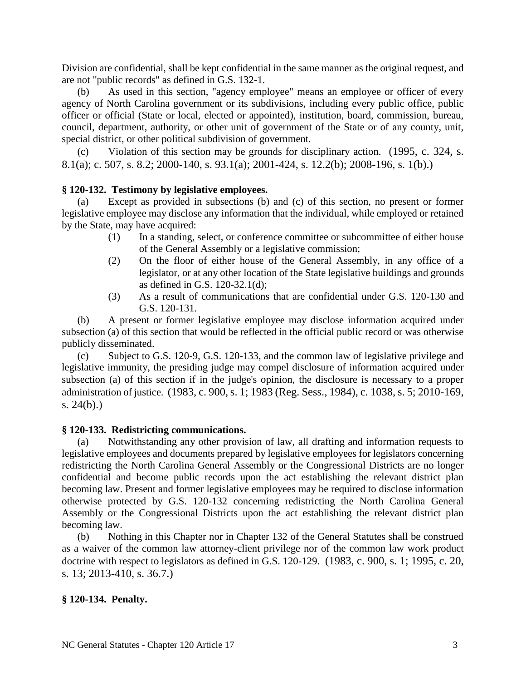Division are confidential, shall be kept confidential in the same manner as the original request, and are not "public records" as defined in G.S. 132-1.

(b) As used in this section, "agency employee" means an employee or officer of every agency of North Carolina government or its subdivisions, including every public office, public officer or official (State or local, elected or appointed), institution, board, commission, bureau, council, department, authority, or other unit of government of the State or of any county, unit, special district, or other political subdivision of government.

(c) Violation of this section may be grounds for disciplinary action. (1995, c. 324, s. 8.1(a); c. 507, s. 8.2; 2000-140, s. 93.1(a); 2001-424, s. 12.2(b); 2008-196, s. 1(b).)

## **§ 120-132. Testimony by legislative employees.**

(a) Except as provided in subsections (b) and (c) of this section, no present or former legislative employee may disclose any information that the individual, while employed or retained by the State, may have acquired:

- (1) In a standing, select, or conference committee or subcommittee of either house of the General Assembly or a legislative commission;
- (2) On the floor of either house of the General Assembly, in any office of a legislator, or at any other location of the State legislative buildings and grounds as defined in G.S. 120-32.1(d);
- (3) As a result of communications that are confidential under G.S. 120-130 and G.S. 120-131.

(b) A present or former legislative employee may disclose information acquired under subsection (a) of this section that would be reflected in the official public record or was otherwise publicly disseminated.

(c) Subject to G.S. 120-9, G.S. 120-133, and the common law of legislative privilege and legislative immunity, the presiding judge may compel disclosure of information acquired under subsection (a) of this section if in the judge's opinion, the disclosure is necessary to a proper administration of justice. (1983, c. 900, s. 1; 1983 (Reg. Sess., 1984), c. 1038, s. 5; 2010-169, s. 24(b).)

#### **§ 120-133. Redistricting communications.**

(a) Notwithstanding any other provision of law, all drafting and information requests to legislative employees and documents prepared by legislative employees for legislators concerning redistricting the North Carolina General Assembly or the Congressional Districts are no longer confidential and become public records upon the act establishing the relevant district plan becoming law. Present and former legislative employees may be required to disclose information otherwise protected by G.S. 120-132 concerning redistricting the North Carolina General Assembly or the Congressional Districts upon the act establishing the relevant district plan becoming law.

(b) Nothing in this Chapter nor in Chapter 132 of the General Statutes shall be construed as a waiver of the common law attorney-client privilege nor of the common law work product doctrine with respect to legislators as defined in G.S. 120-129. (1983, c. 900, s. 1; 1995, c. 20, s. 13; 2013-410, s. 36.7.)

#### **§ 120-134. Penalty.**